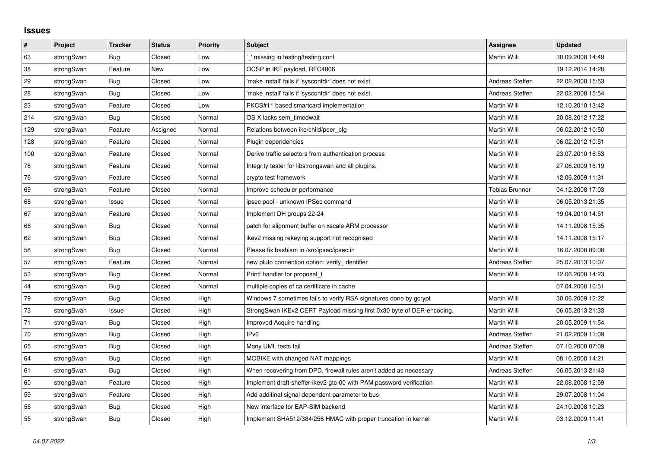## **Issues**

| $\pmb{\#}$ | Project    | <b>Tracker</b> | <b>Status</b> | <b>Priority</b> | <b>Subject</b>                                                         | <b>Assignee</b>       | <b>Updated</b>   |
|------------|------------|----------------|---------------|-----------------|------------------------------------------------------------------------|-----------------------|------------------|
| 63         | strongSwan | Bug            | Closed        | Low             | ' missing in testing/testing.conf                                      | Martin Willi          | 30.09.2008 14:49 |
| 38         | strongSwan | Feature        | <b>New</b>    | Low             | OCSP in IKE payload, RFC4806                                           |                       | 19.12.2014 14:20 |
| 29         | strongSwan | Bug            | Closed        | Low             | 'make install' fails if 'sysconfdir' does not exist.                   | Andreas Steffen       | 22.02.2008 15:53 |
| 28         | strongSwan | Bug            | Closed        | Low             | 'make install' fails if 'sysconfdir' does not exist.                   | Andreas Steffen       | 22.02.2008 15:54 |
| 23         | strongSwan | Feature        | Closed        | Low             | PKCS#11 based smartcard implementation                                 | Martin Willi          | 12.10.2010 13:42 |
| 214        | strongSwan | <b>Bug</b>     | Closed        | Normal          | OS X lacks sem timedwait                                               | Martin Willi          | 20.08.2012 17:22 |
| 129        | strongSwan | Feature        | Assigned      | Normal          | Relations between ike/child/peer cfg                                   | Martin Willi          | 06.02.2012 10:50 |
| 128        | strongSwan | Feature        | Closed        | Normal          | Plugin dependencies                                                    | Martin Willi          | 06.02.2012 10:51 |
| 100        | strongSwan | Feature        | Closed        | Normal          | Derive traffic selectors from authentication process                   | Martin Willi          | 23.07.2010 16:53 |
| 78         | strongSwan | Feature        | Closed        | Normal          | Integrity tester for libstrongswan and all plugins.                    | Martin Willi          | 27.06.2009 16:19 |
| 76         | strongSwan | Feature        | Closed        | Normal          | crypto test framework                                                  | Martin Willi          | 12.06.2009 11:31 |
| 69         | strongSwan | Feature        | Closed        | Normal          | Improve scheduler performance                                          | <b>Tobias Brunner</b> | 04.12.2008 17:03 |
| 68         | strongSwan | Issue          | Closed        | Normal          | ipsec pool - unknown IPSec command                                     | Martin Willi          | 06.05.2013 21:35 |
| 67         | strongSwan | Feature        | Closed        | Normal          | Implement DH groups 22-24                                              | Martin Willi          | 19.04.2010 14:51 |
| 66         | strongSwan | Bug            | Closed        | Normal          | patch for alignment buffer on xscale ARM processor                     | Martin Willi          | 14.11.2008 15:35 |
| 62         | strongSwan | Bug            | Closed        | Normal          | ikev2 missing rekeying support not recognised                          | Martin Willi          | 14.11.2008 15:17 |
| 58         | strongSwan | Bug            | Closed        | Normal          | Please fix bashism in /src/ipsec/ipsec.in                              | Martin Willi          | 16.07.2008 09:08 |
| 57         | strongSwan | Feature        | Closed        | Normal          | new pluto connection option: verify identifier                         | Andreas Steffen       | 25.07.2013 10:07 |
| 53         | strongSwan | Bug            | Closed        | Normal          | Printf handler for proposal t                                          | Martin Willi          | 12.06.2008 14:23 |
| 44         | strongSwan | Bug            | Closed        | Normal          | multiple copies of ca certificate in cache                             |                       | 07.04.2008 10:51 |
| $79\,$     | strongSwan | Bug            | Closed        | High            | Windows 7 sometimes fails to verify RSA signatures done by gcrypt      | Martin Willi          | 30.06.2009 12:22 |
| 73         | strongSwan | Issue          | Closed        | High            | StrongSwan IKEv2 CERT Payload missing first 0x30 byte of DER-encoding. | Martin Willi          | 06.05.2013 21:33 |
| 71         | strongSwan | Bug            | Closed        | High            | Improved Acquire handling                                              | Martin Willi          | 20.05.2009 11:54 |
| 70         | strongSwan | Bug            | Closed        | High            | IP <sub>v6</sub>                                                       | Andreas Steffen       | 21.02.2009 11:09 |
| 65         | strongSwan | Bug            | Closed        | High            | Many UML tests fail                                                    | Andreas Steffen       | 07.10.2008 07:09 |
| 64         | strongSwan | Bug            | Closed        | High            | MOBIKE with changed NAT mappings                                       | Martin Willi          | 08.10.2008 14:21 |
| 61         | strongSwan | Bug            | Closed        | High            | When recovering from DPD, firewall rules aren't added as necessary     | Andreas Steffen       | 06.05.2013 21:43 |
| 60         | strongSwan | Feature        | Closed        | High            | Implement draft-sheffer-ikev2-gtc-00 with PAM password verification    | Martin Willi          | 22.08.2008 12:59 |
| 59         | strongSwan | Feature        | Closed        | High            | Add additinal signal dependent parameter to bus                        | Martin Willi          | 29.07.2008 11:04 |
| 56         | strongSwan | Bug            | Closed        | High            | New interface for EAP-SIM backend                                      | Martin Willi          | 24.10.2008 10:23 |
| 55         | strongSwan | Bug            | Closed        | High            | Implement SHA512/384/256 HMAC with proper truncation in kernel         | Martin Willi          | 03.12.2009 11:41 |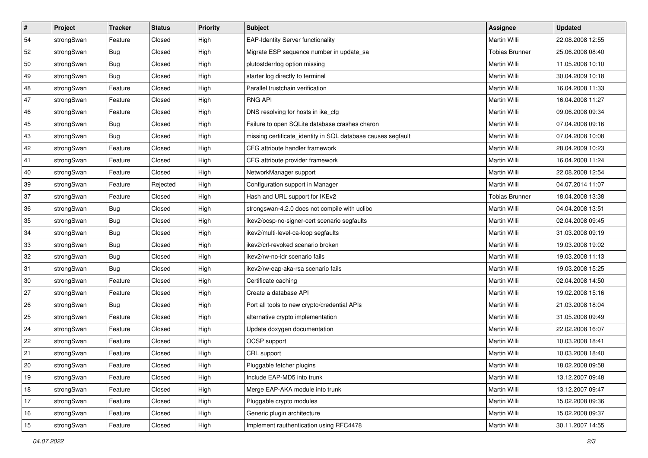| $\vert$ # | Project    | <b>Tracker</b> | <b>Status</b> | <b>Priority</b> | <b>Subject</b>                                               | <b>Assignee</b>       | <b>Updated</b>   |
|-----------|------------|----------------|---------------|-----------------|--------------------------------------------------------------|-----------------------|------------------|
| 54        | strongSwan | Feature        | Closed        | High            | <b>EAP-Identity Server functionality</b>                     | Martin Willi          | 22.08.2008 12:55 |
| 52        | strongSwan | Bug            | Closed        | High            | Migrate ESP sequence number in update_sa                     | <b>Tobias Brunner</b> | 25.06.2008 08:40 |
| 50        | strongSwan | <b>Bug</b>     | Closed        | High            | plutostderrlog option missing                                | Martin Willi          | 11.05.2008 10:10 |
| 49        | strongSwan | <b>Bug</b>     | Closed        | High            | starter log directly to terminal                             | Martin Willi          | 30.04.2009 10:18 |
| 48        | strongSwan | Feature        | Closed        | High            | Parallel trustchain verification                             | Martin Willi          | 16.04.2008 11:33 |
| 47        | strongSwan | Feature        | Closed        | High            | <b>RNG API</b>                                               | Martin Willi          | 16.04.2008 11:27 |
| 46        | strongSwan | Feature        | Closed        | High            | DNS resolving for hosts in ike_cfg                           | Martin Willi          | 09.06.2008 09:34 |
| 45        | strongSwan | Bug            | Closed        | High            | Failure to open SQLite database crashes charon               | Martin Willi          | 07.04.2008 09:16 |
| 43        | strongSwan | Bug            | Closed        | High            | missing certificate_identity in SQL database causes segfault | Martin Willi          | 07.04.2008 10:08 |
| 42        | strongSwan | Feature        | Closed        | High            | CFG attribute handler framework                              | Martin Willi          | 28.04.2009 10:23 |
| 41        | strongSwan | Feature        | Closed        | High            | CFG attribute provider framework                             | Martin Willi          | 16.04.2008 11:24 |
| 40        | strongSwan | Feature        | Closed        | High            | NetworkManager support                                       | Martin Willi          | 22.08.2008 12:54 |
| 39        | strongSwan | Feature        | Rejected      | High            | Configuration support in Manager                             | <b>Martin Willi</b>   | 04.07.2014 11:07 |
| 37        | strongSwan | Feature        | Closed        | High            | Hash and URL support for IKEv2                               | <b>Tobias Brunner</b> | 18.04.2008 13:38 |
| 36        | strongSwan | Bug            | Closed        | High            | strongswan-4.2.0 does not compile with uclibc                | <b>Martin Willi</b>   | 04.04.2008 13:51 |
| 35        | strongSwan | <b>Bug</b>     | Closed        | High            | ikev2/ocsp-no-signer-cert scenario segfaults                 | Martin Willi          | 02.04.2008 09:45 |
| 34        | strongSwan | <b>Bug</b>     | Closed        | High            | ikev2/multi-level-ca-loop segfaults                          | <b>Martin Willi</b>   | 31.03.2008 09:19 |
| 33        | strongSwan | Bug            | Closed        | High            | ikev2/crl-revoked scenario broken                            | Martin Willi          | 19.03.2008 19:02 |
| 32        | strongSwan | Bug            | Closed        | High            | ikev2/rw-no-idr scenario fails                               | Martin Willi          | 19.03.2008 11:13 |
| 31        | strongSwan | Bug            | Closed        | High            | ikev2/rw-eap-aka-rsa scenario fails                          | Martin Willi          | 19.03.2008 15:25 |
| 30        | strongSwan | Feature        | Closed        | High            | Certificate caching                                          | Martin Willi          | 02.04.2008 14:50 |
| 27        | strongSwan | Feature        | Closed        | High            | Create a database API                                        | Martin Willi          | 19.02.2008 15:16 |
| 26        | strongSwan | Bug            | Closed        | High            | Port all tools to new crypto/credential APIs                 | Martin Willi          | 21.03.2008 18:04 |
| 25        | strongSwan | Feature        | Closed        | High            | alternative crypto implementation                            | Martin Willi          | 31.05.2008 09:49 |
| 24        | strongSwan | Feature        | Closed        | High            | Update doxygen documentation                                 | Martin Willi          | 22.02.2008 16:07 |
| 22        | strongSwan | Feature        | Closed        | High            | OCSP support                                                 | Martin Willi          | 10.03.2008 18:41 |
| 21        | strongSwan | Feature        | Closed        | High            | CRL support                                                  | Martin Willi          | 10.03.2008 18:40 |
| 20        | strongSwan | Feature        | Closed        | High            | Pluggable fetcher plugins                                    | Martin Willi          | 18.02.2008 09:58 |
| 19        | strongSwan | Feature        | Closed        | High            | Include EAP-MD5 into trunk                                   | Martin Willi          | 13.12.2007 09:48 |
| 18        | strongSwan | Feature        | Closed        | High            | Merge EAP-AKA module into trunk                              | Martin Willi          | 13.12.2007 09:47 |
| 17        | strongSwan | Feature        | Closed        | High            | Pluggable crypto modules                                     | Martin Willi          | 15.02.2008 09:36 |
| 16        | strongSwan | Feature        | Closed        | High            | Generic plugin architecture                                  | Martin Willi          | 15.02.2008 09:37 |
| 15        | strongSwan | Feature        | Closed        | High            | Implement rauthentication using RFC4478                      | Martin Willi          | 30.11.2007 14:55 |